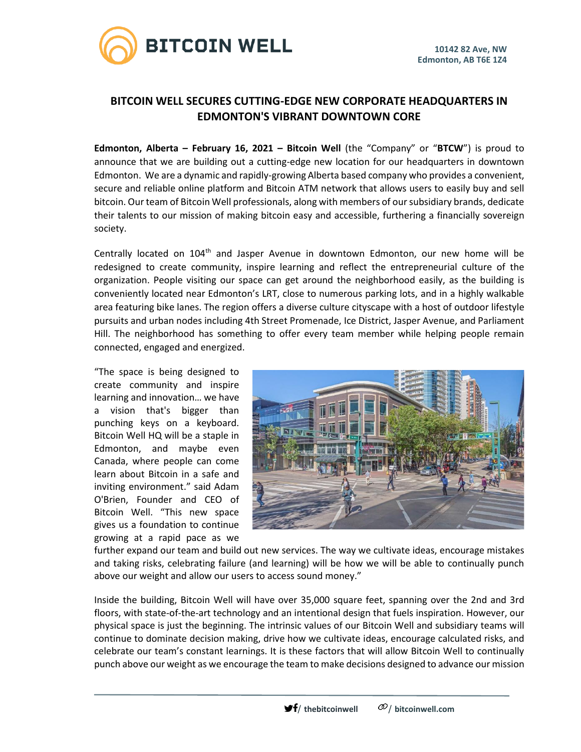

## **BITCOIN WELL SECURES CUTTING-EDGE NEW CORPORATE HEADQUARTERS IN EDMONTON'S VIBRANT DOWNTOWN CORE**

**Edmonton, Alberta – February 16, 2021 – Bitcoin Well** (the "Company" or "**BTCW**") is proud to announce that we are building out a cutting-edge new location for our headquarters in downtown Edmonton. We are a dynamic and rapidly-growing Alberta based company who provides a convenient, secure and reliable online platform and Bitcoin ATM network that allows users to easily buy and sell bitcoin. Our team of Bitcoin Well professionals, along with members of our subsidiary brands, dedicate their talents to our mission of making bitcoin easy and accessible, furthering a financially sovereign society.

Centrally located on  $104<sup>th</sup>$  and Jasper Avenue in downtown Edmonton, our new home will be redesigned to create community, inspire learning and reflect the entrepreneurial culture of the organization. People visiting our space can get around the neighborhood easily, as the building is conveniently located near Edmonton's LRT, close to numerous parking lots, and in a highly walkable area featuring bike lanes. The region offers a diverse culture cityscape with a host of outdoor lifestyle pursuits and urban nodes including 4th Street Promenade, Ice District, Jasper Avenue, and Parliament Hill. The neighborhood has something to offer every team member while helping people remain connected, engaged and energized.

"The space is being designed to create community and inspire learning and innovation… we have a vision that's bigger than punching keys on a keyboard. Bitcoin Well HQ will be a staple in Edmonton, and maybe even Canada, where people can come learn about Bitcoin in a safe and inviting environment." said Adam O'Brien, Founder and CEO of Bitcoin Well. "This new space gives us a foundation to continue growing at a rapid pace as we



further expand our team and build out new services. The way we cultivate ideas, encourage mistakes and taking risks, celebrating failure (and learning) will be how we will be able to continually punch above our weight and allow our users to access sound money."

Inside the building, Bitcoin Well will have over 35,000 square feet, spanning over the 2nd and 3rd floors, with state-of-the-art technology and an intentional design that fuels inspiration. However, our physical space is just the beginning. The intrinsic values of our Bitcoin Well and subsidiary teams will continue to dominate decision making, drive how we cultivate ideas, encourage calculated risks, and celebrate our team's constant learnings. It is these factors that will allow Bitcoin Well to continually punch above our weight as we encourage the team to make decisions designed to advance our mission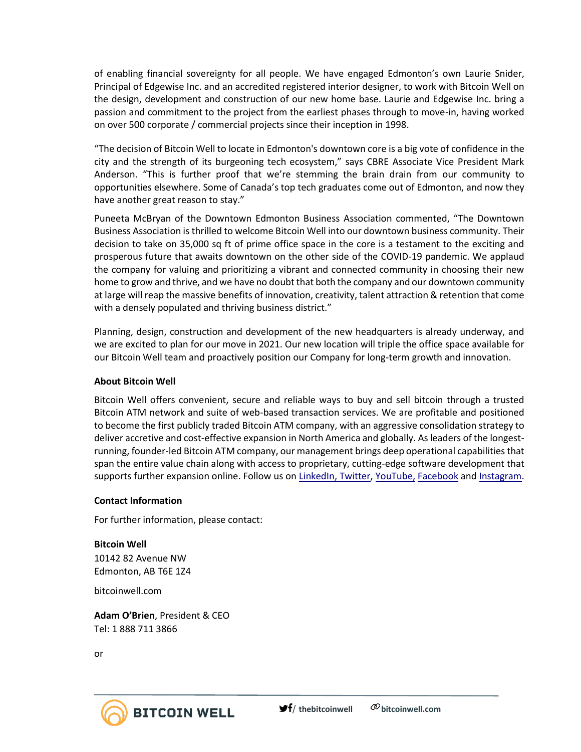of enabling financial sovereignty for all people. We have engaged Edmonton's own Laurie Snider, Principal of Edgewise Inc. and an accredited registered interior designer, to work with Bitcoin Well on the design, development and construction of our new home base. Laurie and Edgewise Inc. bring a passion and commitment to the project from the earliest phases through to move-in, having worked on over 500 corporate / commercial projects since their inception in 1998.

"The decision of Bitcoin Well to locate in Edmonton's downtown core is a big vote of confidence in the city and the strength of its burgeoning tech ecosystem," says CBRE Associate Vice President Mark Anderson. "This is further proof that we're stemming the brain drain from our community to opportunities elsewhere. Some of Canada's top tech graduates come out of Edmonton, and now they have another great reason to stay."

Puneeta McBryan of the Downtown Edmonton Business Association commented, "The Downtown Business Association is thrilled to welcome Bitcoin Well into our downtown business community. Their decision to take on 35,000 sq ft of prime office space in the core is a testament to the exciting and prosperous future that awaits downtown on the other side of the COVID-19 pandemic. We applaud the company for valuing and prioritizing a vibrant and connected community in choosing their new home to grow and thrive, and we have no doubt that both the company and our downtown community at large will reap the massive benefits of innovation, creativity, talent attraction & retention that come with a densely populated and thriving business district."

Planning, design, construction and development of the new headquarters is already underway, and we are excited to plan for our move in 2021. Our new location will triple the office space available for our Bitcoin Well team and proactively position our Company for long-term growth and innovation.

## **About Bitcoin Well**

Bitcoin Well offers convenient, secure and reliable ways to buy and sell bitcoin through a trusted Bitcoin ATM network and suite of web-based transaction services. We are profitable and positioned to become the first publicly traded Bitcoin ATM company, with an aggressive consolidation strategy to deliver accretive and cost-effective expansion in North America and globally. As leaders of the longestrunning, founder-led Bitcoin ATM company, our management brings deep operational capabilities that span the entire value chain along with access to proprietary, cutting-edge software development that supports further expansion online. Follow us on [LinkedIn,](https://www.linkedin.com/company/bitcoinwell/) [Twitter,](https://twitter.com/TheBitcoinWell) [YouTube,](https://www.youtube.com/channel/UCeHRFsSr3KEGD5kECjlvC4g) [Facebook](https://www.facebook.com/thebitcoinwell) and [Instagram.](https://www.instagram.com/thebitcoinwell/)

## **Contact Information**

For further information, please contact:

**Bitcoin Well** 10142 82 Avenue NW Edmonton, AB T6E 1Z4

bitcoinwell.com

**Adam O'Brien**, President & CEO Tel: 1 888 711 3866

or